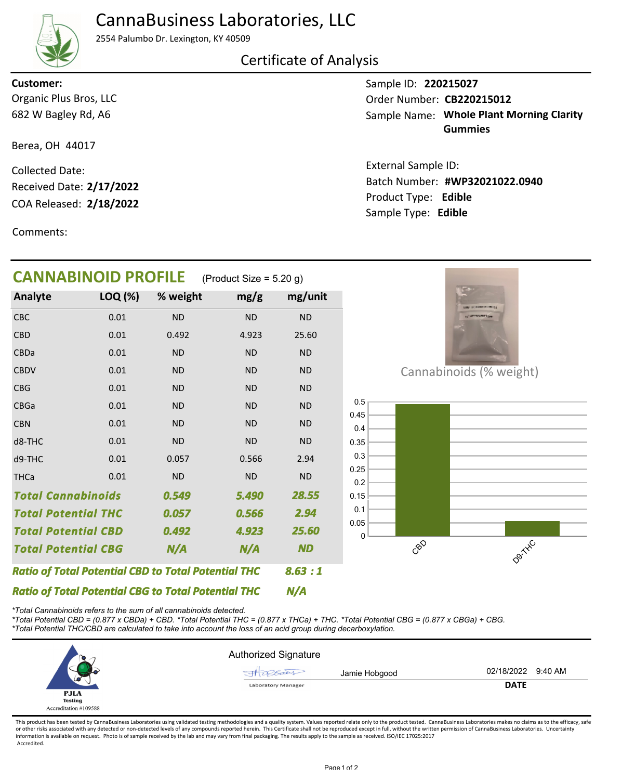# CannaBusiness Laboratories, LLC

2554 Palumbo Dr. Lexington, KY 40509

### Certificate of Analysis

Organic Plus Bros, LLC **Customer:**

682 W Bagley Rd, A6

Berea, OH 44017

COA Released: Collected Date: Received Date: **2/17/2022**

Comments:

Sample ID: **220215027** Sample Name: Whole Plant Morning Clarity **Gummies** Order Number: CB220215012

Product Type: **Edible 2/18/2022 #WP32021022.0940** Batch Number: External Sample ID: Sample Type: **Edible**

| <b>CANNABINOID PROFILE</b>                                 |         |           | (Product Size = $5.20$ g) |           |
|------------------------------------------------------------|---------|-----------|---------------------------|-----------|
| Analyte                                                    | LOQ (%) | % weight  | mg/g                      | mg/unit   |
| CBC                                                        | 0.01    | <b>ND</b> | <b>ND</b>                 | <b>ND</b> |
| CBD                                                        | 0.01    | 0.492     | 4.923                     | 25.60     |
| CBDa                                                       | 0.01    | <b>ND</b> | <b>ND</b>                 | <b>ND</b> |
| <b>CBDV</b>                                                | 0.01    | <b>ND</b> | <b>ND</b>                 | <b>ND</b> |
| <b>CBG</b>                                                 | 0.01    | <b>ND</b> | <b>ND</b>                 | <b>ND</b> |
| CBGa                                                       | 0.01    | <b>ND</b> | <b>ND</b>                 | <b>ND</b> |
| <b>CBN</b>                                                 | 0.01    | <b>ND</b> | <b>ND</b>                 | <b>ND</b> |
| d8-THC                                                     | 0.01    | <b>ND</b> | <b>ND</b>                 | <b>ND</b> |
| d9-THC                                                     | 0.01    | 0.057     | 0.566                     | 2.94      |
| <b>THCa</b>                                                | 0.01    | <b>ND</b> | <b>ND</b>                 | <b>ND</b> |
| <b>Total Cannabinoids</b>                                  |         | 0.549     | 5.490                     | 28.55     |
| <b>Total Potential THC</b>                                 |         | 0.057     | 0.566                     | 2.94      |
| <b>Total Potential CBD</b>                                 |         | 0.492     | 4.923                     | 25.60     |
| <b>Total Potential CBG</b>                                 |         | N/A       | N/A                       | <b>ND</b> |
| <b>Ratio of Total Potential CBD to Total Potential THC</b> |         |           |                           | 8.63:1    |
| <b>Ratio of Total Potential CBG to Total Potential THC</b> |         |           | N/A                       |           |

*\*Total Cannabinoids refers to the sum of all cannabinoids detected.*

*\*Total Potential CBD = (0.877 x CBDa) + CBD. \*Total Potential THC = (0.877 x THCa) + THC. \*Total Potential CBG = (0.877 x CBGa) + CBG. \*Total Potential THC/CBD are calculated to take into account the loss of an acid group during decarboxylation.*

|                                                        | <b>Authorized Signature</b> |               |                    |  |
|--------------------------------------------------------|-----------------------------|---------------|--------------------|--|
| w                                                      |                             | Jamie Hobgood | 02/18/2022 9:40 AM |  |
|                                                        | <b>Laboratory Manager</b>   |               | <b>DATE</b>        |  |
| <b>PJLA</b><br><b>Testing</b><br>Accreditation #109588 |                             |               |                    |  |

This product has been tested by CannaBusiness Laboratories using validated testing methodologies and a quality system. Values reported relate only to the product tested. CannaBusiness Laboratories makes no claims as to the or other risks associated with any detected or non-detected levels of any compounds reported herein. This Certificate shall not be reproduced except in full, without the written permission of CannaBusiness Laboratories. Un information is available on request. Photo is of sample received by the lab and may vary from final packaging. The results apply to the sample as received. ISO/IEC 17025:2017 Accredited.